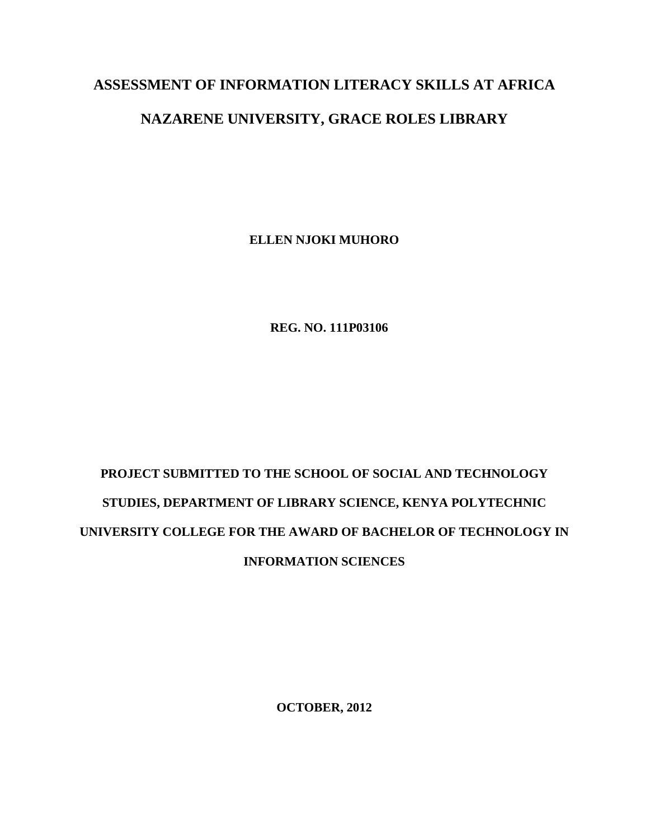## **ASSESSMENT OF INFORMATION LITERACY SKILLS AT AFRICA**

## **NAZARENE UNIVERSITY, GRACE ROLES LIBRARY**

**ELLEN NJOKI MUHORO**

 **REG. NO. 111P03106**

## **PROJECT SUBMITTED TO THE SCHOOL OF SOCIAL AND TECHNOLOGY STUDIES, DEPARTMENT OF LIBRARY SCIENCE, KENYA POLYTECHNIC UNIVERSITY COLLEGE FOR THE AWARD OF BACHELOR OF TECHNOLOGY IN INFORMATION SCIENCES**

**OCTOBER, 2012**